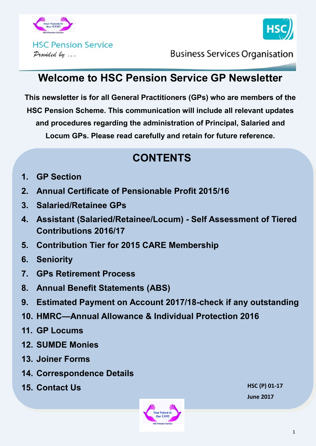



**Business Services Organisation** 

# **Welcome to HSC Pension Service GP Newsletter**

**This newsletter is for all General Practitioners (GPs) who are members of the HSC Pension Scheme. This communication will include all relevant updates and procedures regarding the administration of Principal, Salaried and Locum GPs. Please read carefully and retain for future reference.**

# **CONTENTS**

- **1. GP Section**
- **2. Annual Certificate of Pensionable Profit 2015/16**
- **3. Salaried/Retainee GPs**
- **4. Assistant (Salaried/Retainee/Locum) - Self Assessment of Tiered Contributions 2016/17**
- **5. Contribution Tier for 2015 CARE Membership**
- **6. Seniority**
- **7. GPs Retirement Process**
- **8. Annual Benefit Statements (ABS)**
- **9. Estimated Payment on Account 2017/18-check if any outstanding**
- **10. HMRC—Annual Allowance & Individual Protection 2016**
- **11. GP Locums**
- **12. SUMDE Monies**
- **13. Joiner Forms**
- **14. Correspondence Details**
- **15. Contact Us**



**HSC (P) 01-17 June 2017**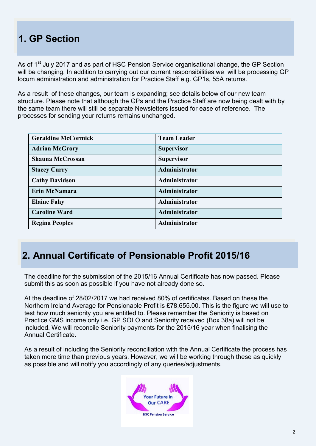# **1. GP Section**

As of 1<sup>st</sup> July 2017 and as part of HSC Pension Service organisational change, the GP Section will be changing. In addition to carrying out our current responsibilities we will be processing GP locum administration and administration for Practice Staff e.g. GP1s, 55A returns.

As a result of these changes, our team is expanding; see details below of our new team structure. Please note that although the GPs and the Practice Staff are now being dealt with by the same team there will still be separate Newsletters issued for ease of reference. The processes for sending your returns remains unchanged.

| <b>Geraldine McCormick</b> | <b>Team Leader</b> |
|----------------------------|--------------------|
| <b>Adrian McGrory</b>      | <b>Supervisor</b>  |
| <b>Shauna McCrossan</b>    | <b>Supervisor</b>  |
| <b>Stacey Curry</b>        | Administrator      |
| <b>Cathy Davidson</b>      | Administrator      |
| Erin McNamara              | Administrator      |
| <b>Elaine Fahy</b>         | Administrator      |
| <b>Caroline Ward</b>       | Administrator      |
| <b>Regina Peoples</b>      | Administrator      |

## **2. Annual Certificate of Pensionable Profit 2015/16**

The deadline for the submission of the 2015/16 Annual Certificate has now passed. Please submit this as soon as possible if you have not already done so.

At the deadline of 28/02/2017 we had received 80% of certificates. Based on these the Northern Ireland Average for Pensionable Profit is £78,655.00. This is the figure we will use to test how much seniority you are entitled to. Please remember the Seniority is based on Practice GMS income only i.e. GP SOLO and Seniority received (Box 38a) will not be included. We will reconcile Seniority payments for the 2015/16 year when finalising the Annual Certificate.

As a result of including the Seniority reconciliation with the Annual Certificate the process has taken more time than previous years. However, we will be working through these as quickly as possible and will notify you accordingly of any queries/adjustments.

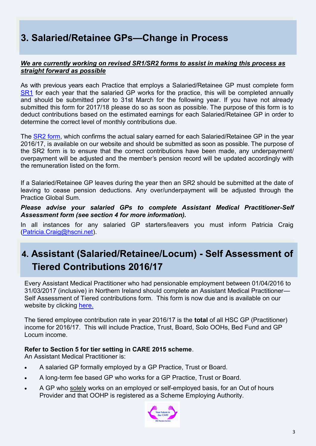# **3. Salaried/Retainee GPs—Change in Process**

#### *We are currently working on revised SR1/SR2 forms to assist in making this process as straight forward as possible*

As with previous years each Practice that employs a Salaried/Retainee GP must complete form [SR1](http://www.hscpensions.hscni.net/download/Practitioners/SRI-2017-18.pdf) for each year that the salaried GP works for the practice, this will be completed annually and should be submitted prior to 31st March for the following year. If you have not already submitted this form for 2017/18 please do so as soon as possible. The purpose of this form is to deduct contributions based on the estimated earnings for each Salaried/Retainee GP in order to determine the correct level of monthly contributions due.

The [SR2 form,](http://www.hscpensions.hscni.net/download/Practitioners/SR2-Form-for-Salaried-GPs-2016-17-Rev-02-17.pdf) which confirms the actual salary earned for each Salaried/Retainee GP in the year 2016/17, is available on our website and should be submitted as soon as possible. The purpose of the SR2 form is to ensure that the correct contributions have been made, any underpayment/ overpayment will be adjusted and the member's pension record will be updated accordingly with the remuneration listed on the form.

If a Salaried/Retainee GP leaves during the year then an SR2 should be submitted at the date of leaving to cease pension deductions. Any over/underpayment will be adjusted through the Practice Global Sum.

*Please advise your salaried GPs to complete Assistant Medical Practitioner-Self Assessment form (see section 4 for more information).* 

In all instances for any salaried GP starters/leavers you must inform Patricia Craig ([Patricia.Craig@hscni.net\)](mailto:Patricia.Craig@hscni.net).

# **4. Assistant (Salaried/Retainee/Locum) - Self Assessment of Tiered Contributions 2016/17**

Every Assistant Medical Practitioner who had pensionable employment between 01/04/2016 to 31/03/2017 (inclusive) in Northern Ireland should complete an Assistant Medical Practitioner— Self Assessment of Tiered contributions form. This form is now due and is available on our website by clicking [here.](http://www.hscpensions.hscni.net/download/Practitioners/2016-17-SELF-ASSESSMENT-4.xls)

The tiered employee contribution rate in year 2016/17 is the **total** of all HSC GP (Practitioner) income for 2016/17. This will include Practice, Trust, Board, Solo OOHs, Bed Fund and GP Locum income.

#### **Refer to Section 5 for tier setting in CARE 2015 scheme**.

An Assistant Medical Practitioner is:

- A salaried GP formally employed by a GP Practice, Trust or Board.
- A long-term fee based GP who works for a GP Practice, Trust or Board.
- A GP who solely works on an employed or self-employed basis, for an Out of hours Provider and that OOHP is registered as a Scheme Employing Authority.

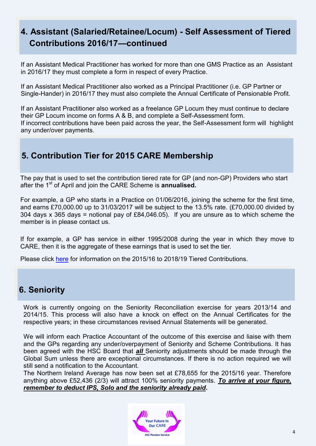## **4. Assistant (Salaried/Retainee/Locum) - Self Assessment of Tiered Contributions 2016/17—continued**

If an Assistant Medical Practitioner has worked for more than one GMS Practice as an Assistant in 2016/17 they must complete a form in respect of every Practice.

If an Assistant Medical Practitioner also worked as a Principal Practitioner (i.e. GP Partner or Single-Hander) in 2016/17 they must also complete the Annual Certificate of Pensionable Profit.

If an Assistant Practitioner also worked as a freelance GP Locum they must continue to declare their GP Locum income on forms A & B, and complete a Self-Assessment form. If incorrect contributions have been paid across the year, the Self-Assessment form will highlight any under/over payments.

## **5. Contribution Tier for 2015 CARE Membership**

The pay that is used to set the contribution tiered rate for GP (and non-GP) Providers who start after the 1st of April and join the CARE Scheme is **annualised.**

For example, a GP who starts in a Practice on 01/06/2016, joining the scheme for the first time, and earns £70,000.00 up to 31/03/2017 will be subject to the 13.5% rate. (£70,000.00 divided by 304 days x 365 days = notional pay of £84,046.05). If you are unsure as to which scheme the member is in please contact us.

If for example, a GP has service in either 1995/2008 during the year in which they move to CARE, then it is the aggregate of these earnings that is used to set the tier.

Please click [here](http://www.hscpensions.hscni.net/download/Members/member_factsheets/Tiered-Contributions-for-Scheme-Years-2015-2016-through-to-2018-2019.pdf) for information on the 2015/16 to 2018/19 Tiered Contributions.

#### **6. Seniority**

Work is currently ongoing on the Seniority Reconciliation exercise for years 2013/14 and 2014/15. This process will also have a knock on effect on the Annual Certificates for the respective years; in these circumstances revised Annual Statements will be generated.

We will inform each Practice Accountant of the outcome of this exercise and liaise with them and the GPs regarding any under/overpayment of Seniority and Scheme Contributions. It has been agreed with the HSC Board that *all* Seniority adjustments should be made through the Global Sum unless there are exceptional circumstances. If there is no action required we will still send a notification to the Accountant.

The Northern Ireland Average has now been set at £78,655 for the 2015/16 year. Therefore anything above £52,436 (2/3) will attract 100% seniority payments. *To arrive at your figure, remember to deduct IPS, Solo and the seniority already paid***.** 

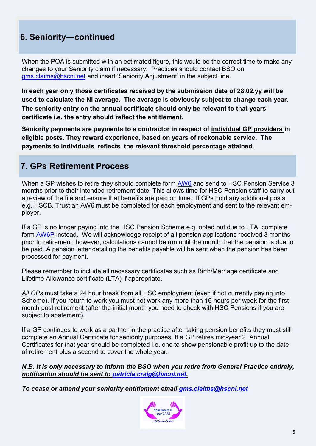## **6. Seniority—continued**

When the POA is submitted with an estimated figure, this would be the correct time to make any changes to your Seniority claim if necessary. Practices should contact BSO on gms.claims@hscni.net and insert 'Seniority Adjustment' in the subject line.

**In each year only those certificates received by the submission date of 28.02.yy will be used to calculate the NI average. The average is obviously subject to change each year. The seniority entry on the annual certificate should only be relevant to that years' certificate i.e. the entry should reflect the entitlement.**

**Seniority payments are payments to a contractor in respect of individual GP providers in eligible posts. They reward experience, based on years of reckonable service. The payments to individuals reflects the relevant threshold percentage attained**.

#### **7. GPs Retirement Process**

When a GP wishes to retire they should complete form [AW6](http://www.hscpensions.hscni.net/download/Scheme%20Forms/AW6-V1-4.pdf) and send to HSC Pension Service 3 months prior to their intended retirement date. This allows time for HSC Pension staff to carry out a review of the file and ensure that benefits are paid on time. If GPs hold any additional posts e.g. HSCB, Trust an AW6 must be completed for each employment and sent to the relevant employer.

If a GP is no longer paying into the HSC Pension Scheme e.g. opted out due to LTA, complete form [AW6P](http://www.hscpensions.hscni.net/download/Scheme%20Forms/AW6-P-Jun-2-1.pdf) instead. We will acknowledge receipt of all pension applications received 3 months prior to retirement, however, calculations cannot be run until the month that the pension is due to be paid. A pension letter detailing the benefits payable will be sent when the pension has been processed for payment.

Please remember to include all necessary certificates such as Birth/Marriage certificate and Lifetime Allowance certificate (LTA) if appropriate.

*All GPs* must take a 24 hour break from all HSC employment (even if not currently paying into Scheme). If you return to work you must not work any more than 16 hours per week for the first month post retirement (after the initial month you need to check with HSC Pensions if you are subject to abatement).

If a GP continues to work as a partner in the practice after taking pension benefits they must still complete an Annual Certificate for seniority purposes. If a GP retires mid-year 2 Annual Certificates for that year should be completed i.e. one to show pensionable profit up to the date of retirement plus a second to cover the whole year.

#### *N.B. It is only necessary to inform the BSO when you retire from General Practice entirely, notification should be sent to [patricia.craig@hscni.net.](mailto:patricia.craig@hscni.net)*

*To cease or amend your seniority entitlement email [gms.claims@hscni.net](mailto:gms.claims@hscni.net)*

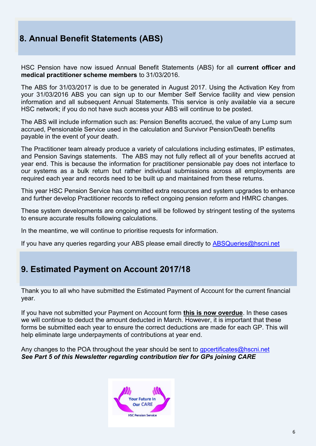### **8. Annual Benefit Statements (ABS)**

HSC Pension have now issued Annual Benefit Statements (ABS) for all **current officer and medical practitioner scheme members** to 31/03/2016.

The ABS for 31/03/2017 is due to be generated in August 2017. Using the Activation Key from your 31/03/2016 ABS you can sign up to our Member Self Service facility and view pension information and all subsequent Annual Statements. This service is only available via a secure HSC network; if you do not have such access your ABS will continue to be posted.

The ABS will include information such as: Pension Benefits accrued, the value of any Lump sum accrued, Pensionable Service used in the calculation and Survivor Pension/Death benefits payable in the event of your death.

The Practitioner team already produce a variety of calculations including estimates, IP estimates, and Pension Savings statements. The ABS may not fully reflect all of your benefits accrued at year end. This is because the information for practitioner pensionable pay does not interface to our systems as a bulk return but rather individual submissions across all employments are required each year and records need to be built up and maintained from these returns.

This year HSC Pension Service has committed extra resources and system upgrades to enhance and further develop Practitioner records to reflect ongoing pension reform and HMRC changes.

These system developments are ongoing and will be followed by stringent testing of the systems to ensure accurate results following calculations.

In the meantime, we will continue to prioritise requests for information.

If you have any queries regarding your ABS please email directly to [ABSQueries@hscni.net](mailto:ABSQueries@hscni.net)

## **9. Estimated Payment on Account 2017/18**

Thank you to all who have submitted the Estimated Payment of Account for the current financial year.

If you have not submitted your Payment on Account form **this is now overdue**. In these cases we will continue to deduct the amount deducted in March. However, it is important that these forms be submitted each year to ensure the correct deductions are made for each GP. This will help eliminate large underpayments of contributions at year end.

Any changes to the POA throughout the year should be sent to govertificates@hscni.net *See Part 5 of this Newsletter regarding contribution tier for GPs joining CARE* 

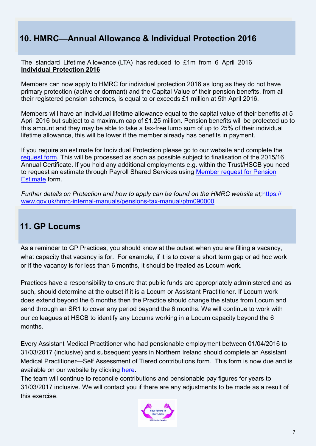### **10. HMRC—Annual Allowance & Individual Protection 2016**

The standard Lifetime Allowance (LTA) has reduced to £1m from 6 April 2016 **Individual Protection 2016**

Members can now apply to HMRC for individual protection 2016 as long as they do not have primary protection (active or dormant) and the Capital Value of their pension benefits, from all their registered pension schemes, is equal to or exceeds £1 million at 5th April 2016.

Members will have an individual lifetime allowance equal to the capital value of their benefits at 5 April 2016 but subject to a maximum cap of £1.25 million. Pension benefits will be protected up to this amount and they may be able to take a tax-free lump sum of up to 25% of their individual lifetime allowance, this will be lower if the member already has benefits in payment.

If you require an estimate for Individual Protection please go to our website and complete the [request form.](http://www.hscpensions.hscni.net/download/Scheme%20Forms/Officer_-_IP2016-V1.pdf) This will be processed as soon as possible subject to finalisation of the 2015/16 Annual Certificate. If you hold any additional employments e.g. within the Trust/HSCB you need to request an estimate through Payroll Shared Services using [Member request for Pension](http://www.hscpensions.hscni.net/request-an-estimate/)  [Estimate](http://www.hscpensions.hscni.net/request-an-estimate/) form.

*Further details on Protection and how to apply can be found on the HMRC website at;*[https://](https://www.gov.uk/hmrc-internal-manuals/pensions-tax-manual/ptm090000) www.gov.uk/hmrc-internal-manuals/pensions-tax-[manual/ptm090000](https://www.gov.uk/hmrc-internal-manuals/pensions-tax-manual/ptm090000)

#### **11. GP Locums**

As a reminder to GP Practices, you should know at the outset when you are filling a vacancy, what capacity that vacancy is for. For example, if it is to cover a short term gap or ad hoc work or if the vacancy is for less than 6 months, it should be treated as Locum work.

Practices have a responsibility to ensure that public funds are appropriately administered and as such, should determine at the outset if it is a Locum or Assistant Practitioner. If Locum work does extend beyond the 6 months then the Practice should change the status from Locum and send through an SR1 to cover any period beyond the 6 months. We will continue to work with our colleagues at HSCB to identify any Locums working in a Locum capacity beyond the 6 months.

Every Assistant Medical Practitioner who had pensionable employment between 01/04/2016 to 31/03/2017 (inclusive) and subsequent years in Northern Ireland should complete an Assistant Medical Practitioner—Self Assessment of Tiered contributions form. This form is now due and is available on our website by clicking [here.](http://www.hscpensions.hscni.net/download/Practitioners/2016-17-SELF-ASSESSMENT-4.xls)

The team will continue to reconcile contributions and pensionable pay figures for years to 31/03/2017 inclusive. We will contact you if there are any adjustments to be made as a result of this exercise.

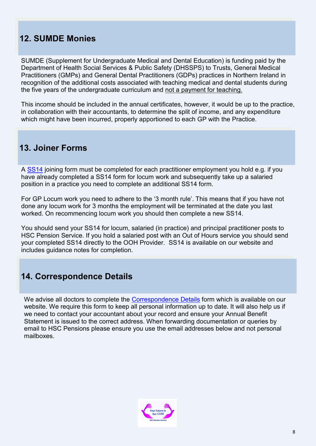### **12. SUMDE Monies**

SUMDE (Supplement for Undergraduate Medical and Dental Education) is funding paid by the Department of Health Social Services & Public Safety (DHSSPS) to Trusts, General Medical Practitioners (GMPs) and General Dental Practitioners (GDPs) practices in Northern Ireland in recognition of the additional costs associated with teaching medical and dental students during the five years of the undergraduate curriculum and not a payment for teaching.

This income should be included in the annual certificates, however, it would be up to the practice, in collaboration with their accountants, to determine the split of income, and any expenditure which might have been incurred, properly apportioned to each GP with the Practice.

#### **13. Joiner Forms**

A [SS14](http://www.hscpensions.hscni.net/download/SS14Jun-16.pdf) joining form must be completed for each practitioner employment you hold e.g. if you have already completed a SS14 form for locum work and subsequently take up a salaried position in a practice you need to complete an additional SS14 form.

For GP Locum work you need to adhere to the '3 month rule'. This means that if you have not done any locum work for 3 months the employment will be terminated at the date you last worked. On recommencing locum work you should then complete a new SS14.

You should send your SS14 for locum, salaried (in practice) and principal practitioner posts to HSC Pension Service. If you hold a salaried post with an Out of Hours service you should send your completed SS14 directly to the OOH Provider. SS14 is available on our website and includes guidance notes for completion.

#### **14. Correspondence Details**

We advise all doctors to complete the [Correspondence Details](http://www.hscpensions.hscni.net/download/CORRESPONDENCE-DETAILS.docx) form which is available on our website. We require this form to keep all personal information up to date. It will also help us if we need to contact your accountant about your record and ensure your Annual Benefit Statement is issued to the correct address. When forwarding documentation or queries by email to HSC Pensions please ensure you use the email addresses below and not personal mailboxes.